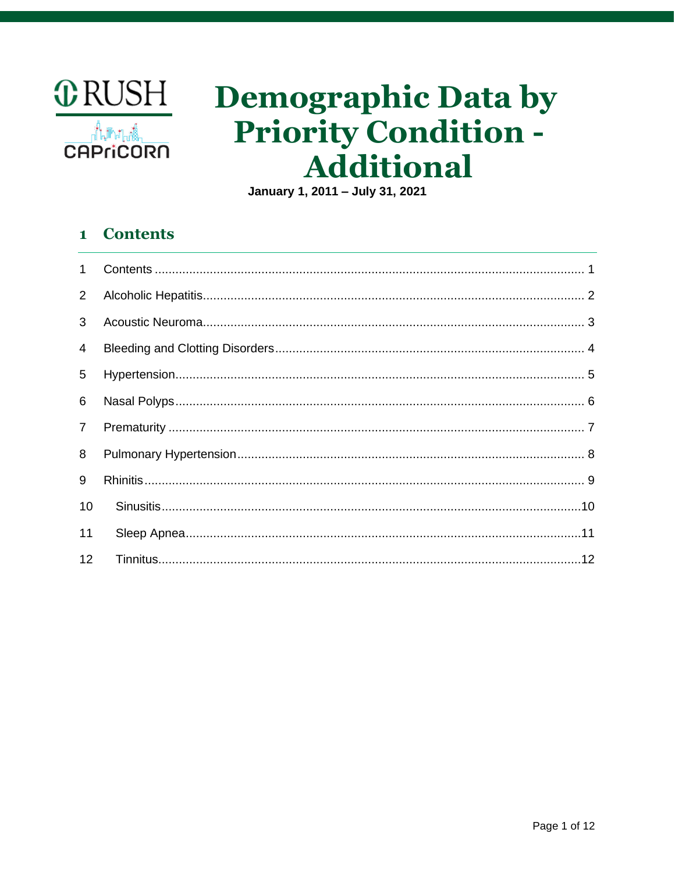

# **Demographic Data by Priority Condition -Additional**

January 1, 2011 - July 31, 2021

### <span id="page-0-0"></span>**Contents**  $\mathbf{1}$

| $\mathbf{1}$   |  |
|----------------|--|
| $\overline{2}$ |  |
| 3              |  |
| $\overline{4}$ |  |
| 5              |  |
| 6              |  |
| $\overline{7}$ |  |
| 8              |  |
| 9              |  |
| 10             |  |
| 11             |  |
| 12             |  |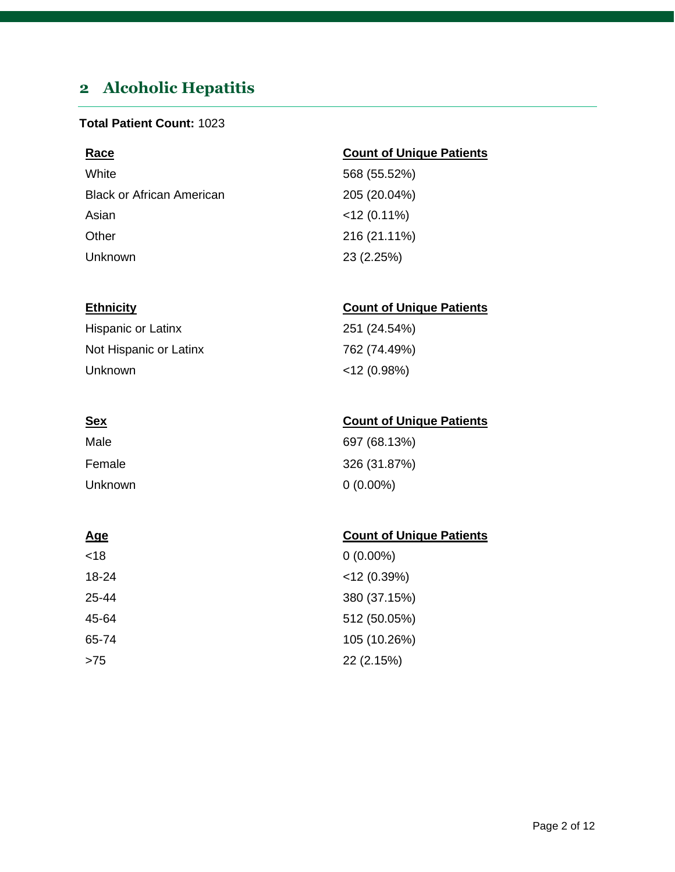## <span id="page-1-0"></span>**2 Alcoholic Hepatitis**

### **Total Patient Count:** 1023

| <b>Count of Unique Patients</b> |
|---------------------------------|
| 568 (55.52%)                    |
| 205 (20.04%)                    |
| $<$ 12 (0.11%)                  |
| 216 (21.11%)                    |
| 23 (2.25%)                      |
|                                 |

| Hispanic or Latinx     | 251 (24.54%)   |
|------------------------|----------------|
| Not Hispanic or Latinx | 762 (74.49%)   |
| Unknown                | $<$ 12 (0.98%) |

| Male    | 697 (68.13%) |
|---------|--------------|
| Female  | 326 (31.87%) |
| Unknown | $0(0.00\%)$  |

### **Age** Count of Unique Patients

| <18   | $0(0.00\%)$    |
|-------|----------------|
| 18-24 | $<$ 12 (0.39%) |
| 25-44 | 380 (37.15%)   |
| 45-64 | 512 (50.05%)   |
| 65-74 | 105 (10.26%)   |
| >75   | 22 (2.15%)     |

### **Ethnicity Count of Unique Patients**

| 697 (68.13%) |  |
|--------------|--|
| 326 (31.87%) |  |
| 0 (0.00%)    |  |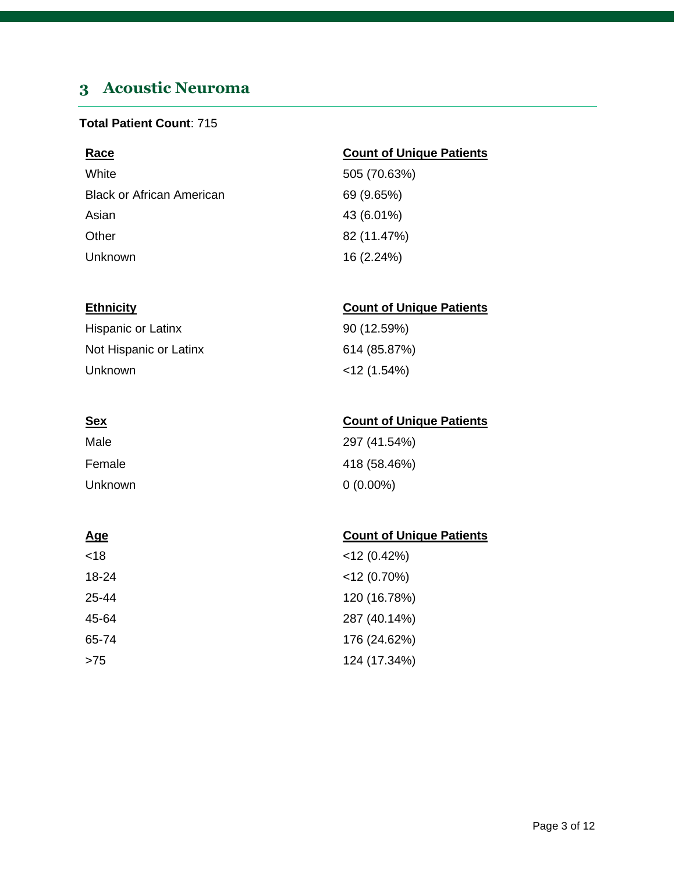## <span id="page-2-0"></span>**3 Acoustic Neuroma**

### **Total Patient Count**: 715

| <b>Race</b>                      | <b>Count of Unique Patients</b> |
|----------------------------------|---------------------------------|
| White                            | 505 (70.63%)                    |
| <b>Black or African American</b> | 69 (9.65%)                      |
| Asian                            | 43 (6.01%)                      |
| Other                            | 82 (11.47%)                     |
| <b>Unknown</b>                   | 16 (2.24%)                      |

### **Ethnicity Count of Unique Patients**

| Hispanic or Latinx     | 90 (12.59%)    |
|------------------------|----------------|
| Not Hispanic or Latinx | 614 (85.87%)   |
| Unknown                | $<$ 12 (1.54%) |

| <u>Sex</u> | <b>Count of Unique Patients</b> |
|------------|---------------------------------|
| Male       | 297 (41.54%)                    |
| Female     | 418 (58.46%)                    |
| Unknown    | $0(0.00\%)$                     |

| <18   | $<$ 12 (0.42%) |
|-------|----------------|
| 18-24 | $<$ 12 (0.70%) |
| 25-44 | 120 (16.78%)   |
| 45-64 | 287 (40.14%)   |
| 65-74 | 176 (24.62%)   |
| >75   | 124 (17.34%)   |

| 297 (41.54%) |  |
|--------------|--|
| 418 (58.46%) |  |
| 0.00%) (     |  |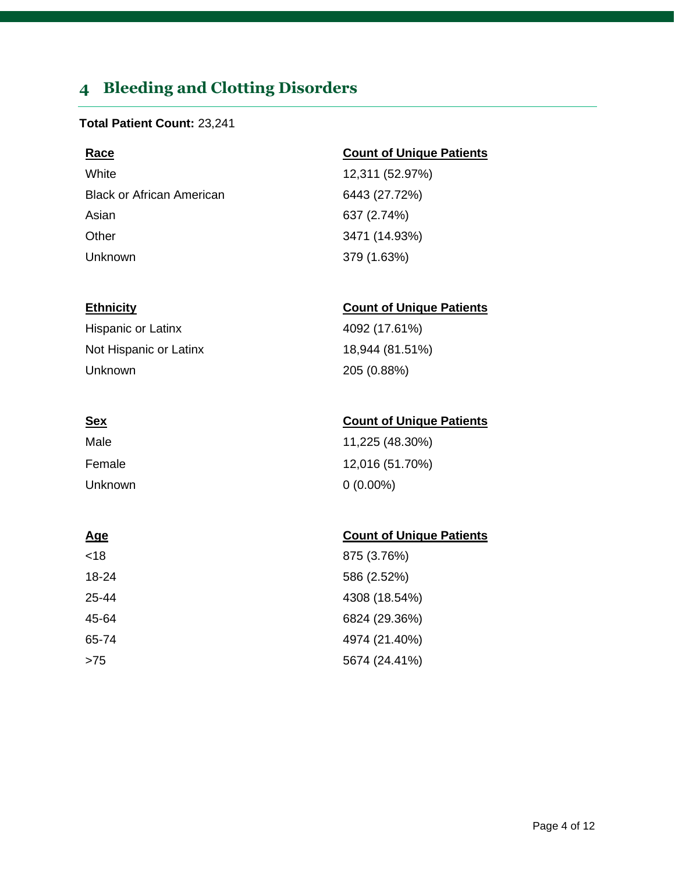## <span id="page-3-0"></span>**4 Bleeding and Clotting Disorders**

### **Total Patient Count:** 23,241

White 12,311 (52.97%) Black or African American 6443 (27.72%) Asian 637 (2.74%) Other 3471 (14.93%) Unknown 379 (1.63%)

Hispanic or Latinx 4092 (17.61%) Not Hispanic or Latinx 18,944 (81.51%) Unknown 205 (0.88%)

## Male 11,225 (48.30%) Female 12,016 (51.70%) Unknown 0 (0.00%)

### **Age Count of Unique Patients**

| <18   | 875 (3.76%)   |
|-------|---------------|
| 18-24 | 586 (2.52%)   |
| 25-44 | 4308 (18.54%) |
| 45-64 | 6824 (29.36%) |
| 65-74 | 4974 (21.40%) |
| >75   | 5674 (24.41%) |

### **Race Count of Unique Patients**

### **Ethnicity Count of Unique Patients**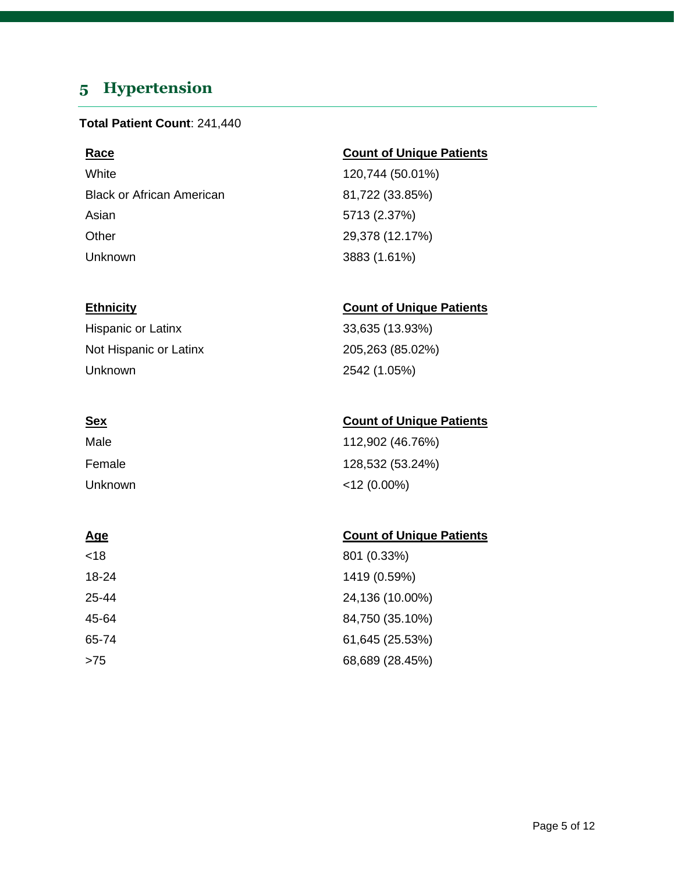## <span id="page-4-0"></span>**5 Hypertension**

### **Total Patient Count**: 241,440

White 120,744 (50.01%) Black or African American 81,722 (33.85%) Asian 5713 (2.37%) Other 29,378 (12.17%) Unknown 3883 (1.61%)

Hispanic or Latinx 33,635 (13.93%) Not Hispanic or Latinx 205,263 (85.02%) Unknown 2542 (1.05%)

| Male    | 112,902 (46.76%) |
|---------|------------------|
| Female  | 128,532 (53.24%) |
| Unknown | $<$ 12 (0.00%)   |

### **Age** Count of Unique Patients

| <18   | 801 (0.33%)     |
|-------|-----------------|
| 18-24 | 1419 (0.59%)    |
| 25-44 | 24,136 (10.00%) |
| 45-64 | 84,750 (35.10%) |
| 65-74 | 61,645 (25.53%) |
| >75   | 68,689 (28.45%) |

### **Race Count of Unique Patients**

### **Ethnicity Count of Unique Patients**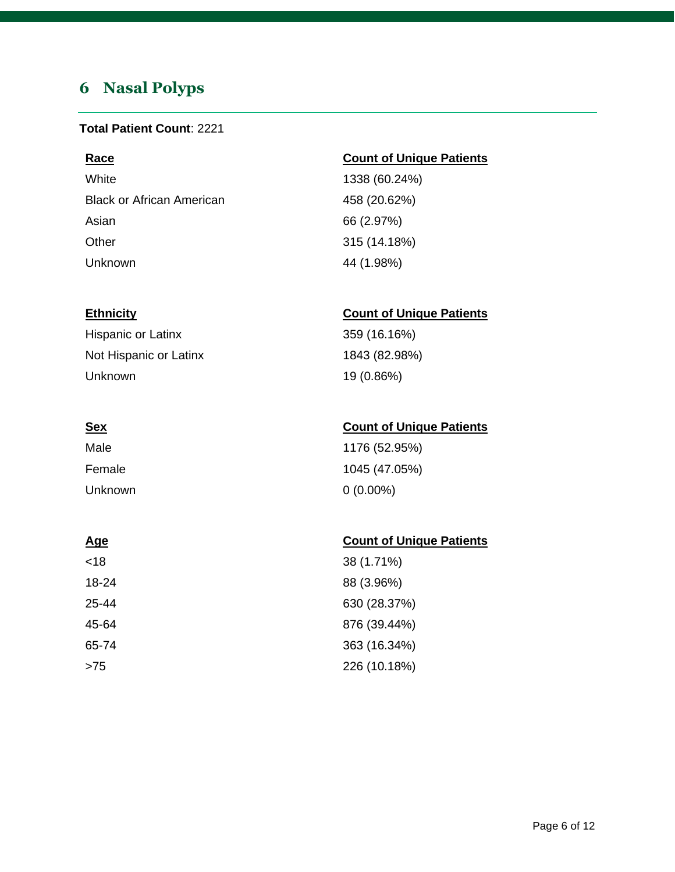## <span id="page-5-0"></span>**6 Nasal Polyps**

### **Total Patient Count**: 2221

White 1338 (60.24%) Black or African American 458 (20.62%) Asian 66 (2.97%) Other 315 (14.18%) Unknown 44 (1.98%)

### **Race Count of Unique Patients**

### **Ethnicity Count of Unique Patients**

Hispanic or Latinx 359 (16.16%) Not Hispanic or Latinx 1843 (82.98%) Unknown 19 (0.86%)

**Sex Count of Unique Patients** Male 1176 (52.95%) Female 1045 (47.05%) Unknown 0 (0.00%)

| <u>Age</u> | <b>Count of Unique Patients</b> |
|------------|---------------------------------|
| < 18       | 38 (1.71%)                      |
| 18-24      | 88 (3.96%)                      |
| 25-44      | 630 (28.37%)                    |
| 45-64      | 876 (39.44%)                    |
| 65-74      | 363 (16.34%)                    |
| $>75$      | 226 (10.18%)                    |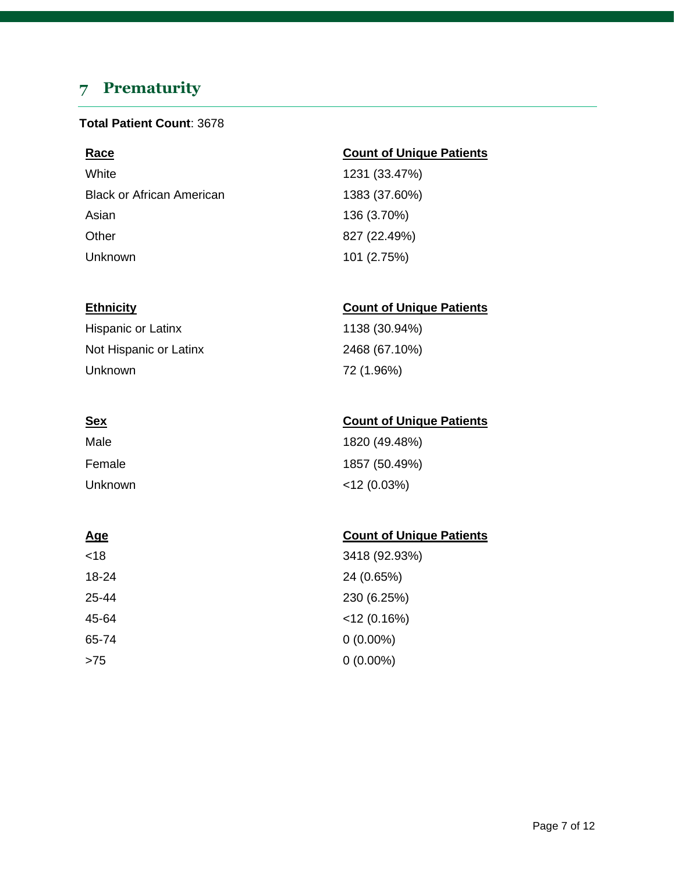## <span id="page-6-0"></span>**7 Prematurity**

### **Total Patient Count**: 3678

White 1231 (33.47%) Black or African American 1383 (37.60%) Asian 136 (3.70%) Other 827 (22.49%) Unknown 101 (2.75%)

Hispanic or Latinx 1138 (30.94%) Not Hispanic or Latinx 2468 (67.10%) Unknown 72 (1.96%)

| Male    | 1820 (49.48%)  |
|---------|----------------|
| Female  | 1857 (50.49%)  |
| Unknown | $<$ 12 (0.03%) |

| <18   | 3418 (92.93%)  |
|-------|----------------|
| 18-24 | 24 (0.65%)     |
| 25-44 | 230 (6.25%)    |
| 45-64 | $<$ 12 (0.16%) |
| 65-74 | $0(0.00\%)$    |
| >75   | $0(0.00\%)$    |

### **Race Count of Unique Patients**

### **Ethnicity Count of Unique Patients**

### **Sex Count of Unique Patients**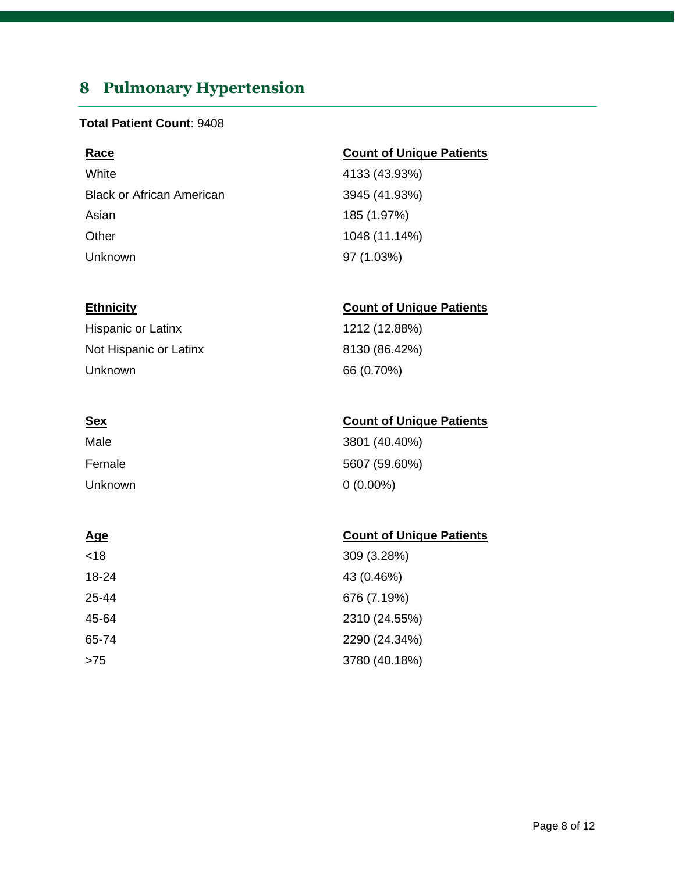## <span id="page-7-0"></span>**8 Pulmonary Hypertension**

### **Total Patient Count**: 9408

White 4133 (43.93%) Black or African American 3945 (41.93%) Asian 185 (1.97%) Other 1048 (11.14%) Unknown 97 (1.03%)

Hispanic or Latinx 1212 (12.88%) Not Hispanic or Latinx 8130 (86.42%) Unknown 66 (0.70%)

| Male    | 3801 (40.40%) |
|---------|---------------|
| Female  | 5607 (59.60%) |
| Unknown | $0(0.00\%)$   |

| <18   | 309 (3.28%)   |
|-------|---------------|
| 18-24 | 43 (0.46%)    |
| 25-44 | 676 (7.19%)   |
| 45-64 | 2310 (24.55%) |
| 65-74 | 2290 (24.34%) |
| >75   | 3780 (40.18%) |

### **Race Count of Unique Patients**

### **Ethnicity Count of Unique Patients**

### **Sex Count of Unique Patients**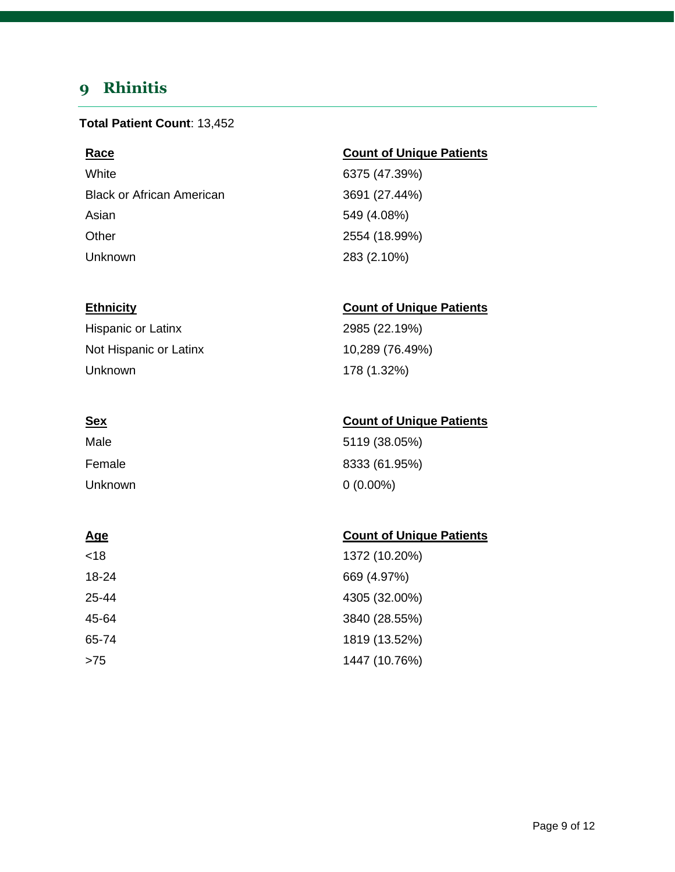## <span id="page-8-0"></span>**9 Rhinitis**

### **Total Patient Count**: 13,452

White 6375 (47.39%) Black or African American 3691 (27.44%) Asian 549 (4.08%) Other 2554 (18.99%) Unknown 283 (2.10%)

Hispanic or Latinx 2985 (22.19%) Not Hispanic or Latinx 10,289 (76.49%) Unknown 178 (1.32%)

| Male    | 5119 (38.05%) |
|---------|---------------|
| Female  | 8333 (61.95%) |
| Unknown | $0(0.00\%)$   |

### **Age** Count of Unique Patients

| <18   | 1372 (10.20%) |
|-------|---------------|
| 18-24 | 669 (4.97%)   |
| 25-44 | 4305 (32.00%) |
| 45-64 | 3840 (28.55%) |
| 65-74 | 1819 (13.52%) |
| >75   | 1447 (10.76%) |

### **Race Count of Unique Patients**

### **Ethnicity Count of Unique Patients**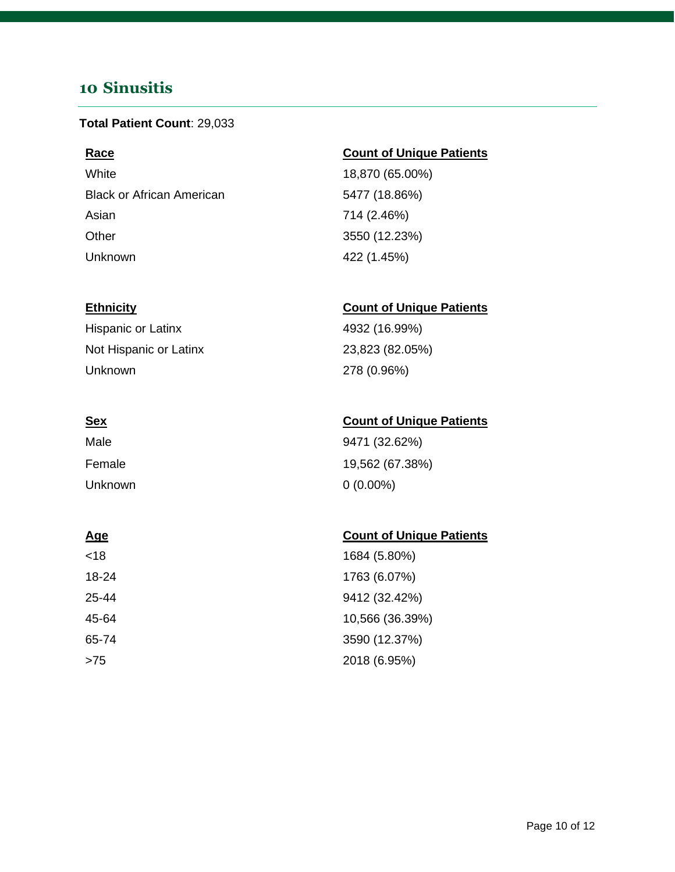## <span id="page-9-0"></span>**10 Sinusitis**

### **Total Patient Count**: 29,033

White 18,870 (65.00%) Black or African American 6477 (18.86%) Asian 714 (2.46%) Other 3550 (12.23%) Unknown 422 (1.45%)

Hispanic or Latinx 4932 (16.99%) Not Hispanic or Latinx 23,823 (82.05%) Unknown 278 (0.96%)

| Male    | 9471 (32.62%)   |
|---------|-----------------|
| Female  | 19,562 (67.38%) |
| Unknown | $0(0.00\%)$     |

### **Age** Count of Unique Patients

| <18   | 1684 (5.80%)    |
|-------|-----------------|
| 18-24 | 1763 (6.07%)    |
| 25-44 | 9412 (32.42%)   |
| 45-64 | 10,566 (36.39%) |
| 65-74 | 3590 (12.37%)   |
| >75   | 2018 (6.95%)    |

### **Race Count of Unique Patients**

### **Ethnicity Count of Unique Patients**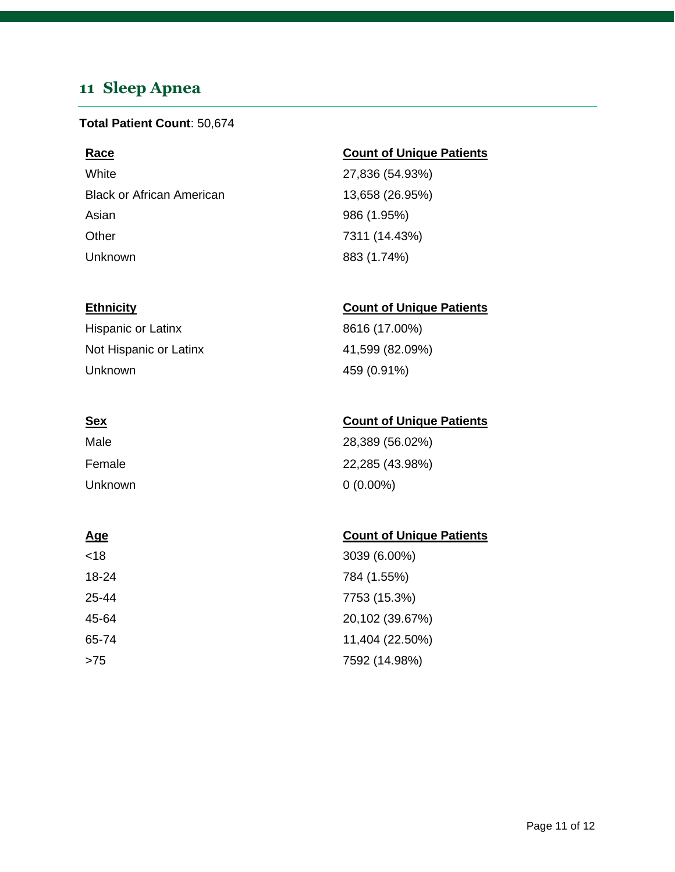## <span id="page-10-0"></span>**11 Sleep Apnea**

### **Total Patient Count**: 50,674

White 27,836 (54.93%) Black or African American 13,658 (26.95%) Asian 986 (1.95%) Other 7311 (14.43%) Unknown 883 (1.74%)

Hispanic or Latinx 8616 (17.00%) Not Hispanic or Latinx 41,599 (82.09%) Unknown 459 (0.91%)

| Male    | 28,389 (56.02%) |
|---------|-----------------|
| Female  | 22,285 (43.98%) |
| Unknown | $0(0.00\%)$     |

### **Age** Count of Unique Patients

| <18   | 3039 (6.00%)    |
|-------|-----------------|
| 18-24 | 784 (1.55%)     |
| 25-44 | 7753 (15.3%)    |
| 45-64 | 20,102 (39.67%) |
| 65-74 | 11,404 (22.50%) |
| >75   | 7592 (14.98%)   |

### **Race Count of Unique Patients**

### **Ethnicity Count of Unique Patients**